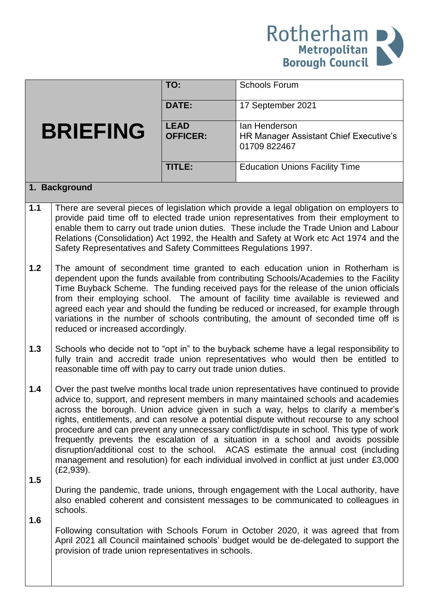

|                 |                                                                                                                                                                                                                                                                                                                                                                                                                                                                                                                                                                                                                                                                                                                                                | TO:                            | <b>Schools Forum</b>                                                    |  |  |
|-----------------|------------------------------------------------------------------------------------------------------------------------------------------------------------------------------------------------------------------------------------------------------------------------------------------------------------------------------------------------------------------------------------------------------------------------------------------------------------------------------------------------------------------------------------------------------------------------------------------------------------------------------------------------------------------------------------------------------------------------------------------------|--------------------------------|-------------------------------------------------------------------------|--|--|
|                 |                                                                                                                                                                                                                                                                                                                                                                                                                                                                                                                                                                                                                                                                                                                                                | <b>DATE:</b>                   | 17 September 2021                                                       |  |  |
| <b>BRIEFING</b> |                                                                                                                                                                                                                                                                                                                                                                                                                                                                                                                                                                                                                                                                                                                                                | <b>LEAD</b><br><b>OFFICER:</b> | lan Henderson<br>HR Manager Assistant Chief Executive's<br>01709 822467 |  |  |
|                 |                                                                                                                                                                                                                                                                                                                                                                                                                                                                                                                                                                                                                                                                                                                                                | TITLE:                         | <b>Education Unions Facility Time</b>                                   |  |  |
| 1. Background   |                                                                                                                                                                                                                                                                                                                                                                                                                                                                                                                                                                                                                                                                                                                                                |                                |                                                                         |  |  |
| 1.1             | There are several pieces of legislation which provide a legal obligation on employers to<br>provide paid time off to elected trade union representatives from their employment to<br>enable them to carry out trade union duties. These include the Trade Union and Labour<br>Relations (Consolidation) Act 1992, the Health and Safety at Work etc Act 1974 and the<br>Safety Representatives and Safety Committees Regulations 1997.                                                                                                                                                                                                                                                                                                         |                                |                                                                         |  |  |
| 1.2             | The amount of secondment time granted to each education union in Rotherham is<br>dependent upon the funds available from contributing Schools/Academies to the Facility<br>Time Buyback Scheme. The funding received pays for the release of the union officials<br>from their employing school. The amount of facility time available is reviewed and<br>agreed each year and should the funding be reduced or increased, for example through<br>variations in the number of schools contributing, the amount of seconded time off is<br>reduced or increased accordingly.                                                                                                                                                                    |                                |                                                                         |  |  |
| 1.3             | Schools who decide not to "opt in" to the buyback scheme have a legal responsibility to<br>fully train and accredit trade union representatives who would then be entitled to<br>reasonable time off with pay to carry out trade union duties.                                                                                                                                                                                                                                                                                                                                                                                                                                                                                                 |                                |                                                                         |  |  |
| 1.4<br>1.5      | Over the past twelve months local trade union representatives have continued to provide<br>advice to, support, and represent members in many maintained schools and academies<br>across the borough. Union advice given in such a way, helps to clarify a member's<br>rights, entitlements, and can resolve a potential dispute without recourse to any school<br>procedure and can prevent any unnecessary conflict/dispute in school. This type of work<br>frequently prevents the escalation of a situation in a school and avoids possible<br>disruption/additional cost to the school. ACAS estimate the annual cost (including<br>management and resolution) for each individual involved in conflict at just under £3,000<br>(E2, 939). |                                |                                                                         |  |  |
| 1.6             | During the pandemic, trade unions, through engagement with the Local authority, have<br>also enabled coherent and consistent messages to be communicated to colleagues in<br>schools.                                                                                                                                                                                                                                                                                                                                                                                                                                                                                                                                                          |                                |                                                                         |  |  |
|                 | Following consultation with Schools Forum in October 2020, it was agreed that from<br>April 2021 all Council maintained schools' budget would be de-delegated to support the<br>provision of trade union representatives in schools.                                                                                                                                                                                                                                                                                                                                                                                                                                                                                                           |                                |                                                                         |  |  |
|                 |                                                                                                                                                                                                                                                                                                                                                                                                                                                                                                                                                                                                                                                                                                                                                |                                |                                                                         |  |  |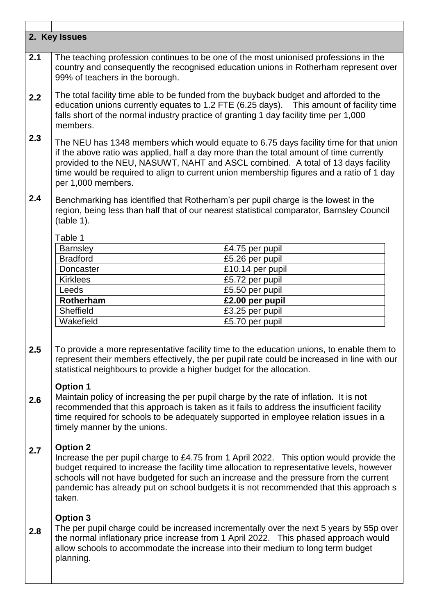| 2. Key Issues |                                                                                                                                                                                                                                                                                                                                                                                                      |                  |  |  |
|---------------|------------------------------------------------------------------------------------------------------------------------------------------------------------------------------------------------------------------------------------------------------------------------------------------------------------------------------------------------------------------------------------------------------|------------------|--|--|
| 2.1           | The teaching profession continues to be one of the most unionised professions in the<br>country and consequently the recognised education unions in Rotherham represent over<br>99% of teachers in the borough.                                                                                                                                                                                      |                  |  |  |
| 2.2           | The total facility time able to be funded from the buyback budget and afforded to the<br>education unions currently equates to 1.2 FTE (6.25 days). This amount of facility time<br>falls short of the normal industry practice of granting 1 day facility time per 1,000<br>members.                                                                                                                |                  |  |  |
| 2.3           | The NEU has 1348 members which would equate to 6.75 days facility time for that union<br>if the above ratio was applied, half a day more than the total amount of time currently<br>provided to the NEU, NASUWT, NAHT and ASCL combined. A total of 13 days facility<br>time would be required to align to current union membership figures and a ratio of 1 day<br>per 1,000 members.               |                  |  |  |
| 2.4           | Benchmarking has identified that Rotherham's per pupil charge is the lowest in the<br>region, being less than half that of our nearest statistical comparator, Barnsley Council<br>(table 1).                                                                                                                                                                                                        |                  |  |  |
|               | Table 1                                                                                                                                                                                                                                                                                                                                                                                              |                  |  |  |
|               | <b>Barnsley</b>                                                                                                                                                                                                                                                                                                                                                                                      | £4.75 per pupil  |  |  |
|               | <b>Bradford</b>                                                                                                                                                                                                                                                                                                                                                                                      | £5.26 per pupil  |  |  |
|               | Doncaster                                                                                                                                                                                                                                                                                                                                                                                            | £10.14 per pupil |  |  |
|               | <b>Kirklees</b>                                                                                                                                                                                                                                                                                                                                                                                      | £5.72 per pupil  |  |  |
|               | Leeds                                                                                                                                                                                                                                                                                                                                                                                                | £5.50 per pupil  |  |  |
|               | Rotherham                                                                                                                                                                                                                                                                                                                                                                                            | £2.00 per pupil  |  |  |
|               | Sheffield                                                                                                                                                                                                                                                                                                                                                                                            | £3.25 per pupil  |  |  |
|               | Wakefield                                                                                                                                                                                                                                                                                                                                                                                            | £5.70 per pupil  |  |  |
| 2.5           | To provide a more representative facility time to the education unions, to enable them to<br>represent their members effectively, the per pupil rate could be increased in line with our<br>statistical neighbours to provide a higher budget for the allocation.                                                                                                                                    |                  |  |  |
| 2.6           | <b>Option 1</b><br>Maintain policy of increasing the per pupil charge by the rate of inflation. It is not<br>recommended that this approach is taken as it fails to address the insufficient facility<br>time required for schools to be adequately supported in employee relation issues in a<br>timely manner by the unions.                                                                       |                  |  |  |
| 2.7           | <b>Option 2</b><br>Increase the per pupil charge to £4.75 from 1 April 2022. This option would provide the<br>budget required to increase the facility time allocation to representative levels, however<br>schools will not have budgeted for such an increase and the pressure from the current<br>pandemic has already put on school budgets it is not recommended that this approach s<br>taken. |                  |  |  |
| 2.8           | <b>Option 3</b><br>The per pupil charge could be increased incrementally over the next 5 years by 55p over<br>the normal inflationary price increase from 1 April 2022. This phased approach would<br>allow schools to accommodate the increase into their medium to long term budget<br>planning.                                                                                                   |                  |  |  |

٦